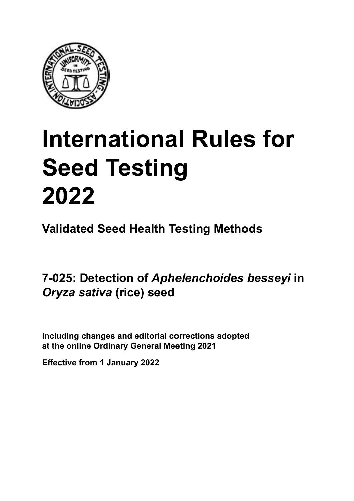

# **International Rules for Seed Testing von Saatgut 2022 2022 Semences 2022 Seed Testing<br>Seed Testing<br>2022<br><sup>Validated Seed Health Testing Methods<br>7-025: Detection of** *Aphelenchoides besseyi* **ir<br>***Oryza sativa* **(rice) seed**</sup> **Seed Testing 2022**

**Métodos Validados para Análisis de Sanidad de Semillas Validate Méthodes Validées pour Analyse Sanitaire des Semences Validated Seed Health Testing Methods**

7-025: Detection of *Aphelenchoides besseyi* in **semillas de** *Oryza sativa* **(arroz) Samen von** *Oryza sativa* **(Reis)** *Oryza sativa* **(rice) seed**

Including changes and editorial corrections adopted at the online Ordinary General Meeting 2021

**Effective from 1 January 2022**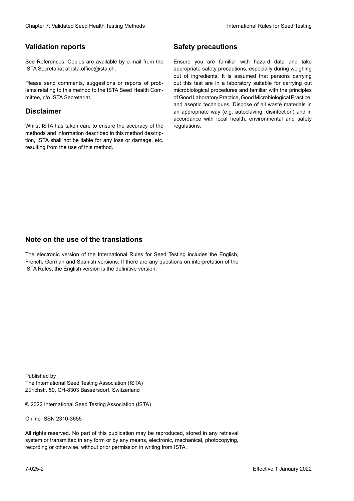## **Validation reports**

See References. Copies are available by e-mail from the<br>ISTA Secretariat at ista.office@ista.ch. ISTA Secretariat at ista.office@ista.ch.

lems relating to this method to the ISTA Seed Health Com-<br>mittee, c/o ISTA Secretariat. mittee, c/o ISTA Secretariat.<br>i Please send comments, suggestions or reports of prob-

# **Limitation de responsabilité Disclaimer**

Whilst ISTA has taken care to ensure the accuracy of the<br>methods and information described in this method description, ISTA shall not be liable for any loss or damage, etc.<br>resulting from the use of this method.<br>. resulting from the use of this method. Whilst ISTA has taken care to ensure the accuracy of the methods and information described in this method descrip-<br>tion, ISTA shall not be liable for any loss or damage, etc. tion, ISTA shall not be liable for any loss or damage, etc.<br>resulting from the use of this method.

# **Medidas de seguridad Sicherheitsmaßnahmen Sécurité Safety precautions**

Ensure you are familiar with hazard data and take Ensure you are familiar with hazard data and take<br>appropriate safety precautions, especially during weighing out of ingredients. It is assumed that persons carrying out this test are in a laboratory suitable for carrying out microbiological procedures and familiar with the principles of Good Laboratory Practice, Good Microbiological Practice, and aseptic techniques. Dispose of all waste materials in an appropriate way (e.g. autoclaving, disinfection) and in accordance with local health, environmental and safety regulations. Glade 7: Validated Deed Health Testing holes by Safety precentions and the Sacrifice of the New York (2022Validation reports of the New York (2022Validation reports of the New York (2022Validation reproduces a statistical microbiological procedures and familiar with the principles<br>of Good Laboratory Practice, Good Microbiological Practice,<br>and aseptic techniques. Dispose of all waste materials in<br>an appropriate way (e.g. autoclaving, disinf fallstoffe sind auf geeignete Weise und entsprechend der vor Ort über der vor Ort über und Umwelt- und Umwelt-<br>Eine und Umwelt-Effective Counter of Nicholas Devel Teach Teach Teach Devel Safety precedutions<br>
Validation reports<br>
Safety precedution reports and the symbol state of the sementic of the symbol state of the based delay and share<br>
Propose of Good Laboratory Practice, Good Microbiological Practice,<br>and aseptic techniques. Dispose of all waste materials in<br>an appropriate way (e.g. autoclaving, disinfection) and in Validation reports<br>
Since The Texture 1988 and the system of the Since Theorem and the Since Theorem and the system of the Since The Since The Since The Since The Since The Since The Since The Since The Since The Since The Ensure you are familiar with hazard data and take<br>appropriate safety precautions, especially during weighing<br>out of ingredients. It is assumed that persons carrying<br>out this test are in a laboratory suitable for carrying o

# **Nota sobre el uso de traducciones Anmerkung zur Benutzung der Übersetzungen Note on the use of the translations**

The electronic version of the International Rules for Seed Testing includes the English, French, German and Spanish versions. If there are any questions on interpretation of the ISTA Rules, the English version is the definitive version. The electronic version of the International Rules for Seed Testing includes the English,<br>French, German and Spanish versions. If there are any questions on interpretation of the<br>ISTA Rules, the English version is the defin The electronic version of the International Rules for Seed Testing includes the English,<br>French, German and Spanish versions. If there are any questions on interpretation of the

Published by **Extending Association (ISTA)** The International Seed Testing Association (ISTA) Zürichstr. 50, CH-8303 Bassersdorf, Switzerland

© 2022 International Seed Testing Association (ISTA)

Alle Rechte vorbehalten. Kein Teil dieses Werkes darf in irgendwelcher Form oder durch Online ISSN 2310-3655

All rights reserved. No part of this publication may be reproduced, stored in any retrieval All rights reserved. No part of this publication may be reproduced, stored in any retrieval<br>system or transmitted in any form or by any means, electronic, mechanical, photocopying,<br>recording or otherwise, without prior per recording or otherwise, without prior permis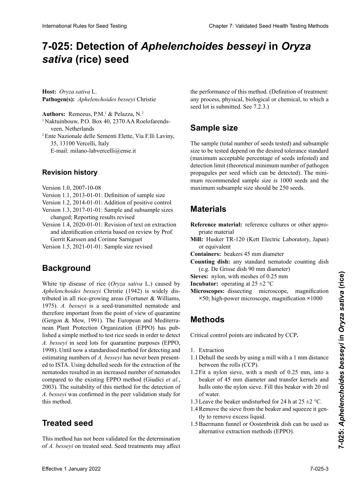# 7-025: Detection of *Aphelenchoides besseyi* in *Oryza* **semillas de** *Oryza sativa* **(arroz) von** *Oryza sativa* **(Reis) semences de** *Oryza sativa* **(riz)** *sativa* **(rice) seed**

**Host:** *Oryza sativa* L. Pathogen(s): Aphelenchoides besseyi Christie

Authors: Remeeus, P.M.<sup>1</sup> & Pelazza, N.<sup>2</sup>

<sup>1</sup> Naktuinbouw, P.O. Box 40, 2370 AA Roelofarends-Netherlands

2 Ente Nazionale delle Sementi Elette, Via F.lli Laviny, 35, 13100 Vercelli, Italy Italie 35, 13100 Vercelli, Italy veen, Netherlands<br>
<sup>2</sup> Ente Nazionale delle Sementi Elette, Via F.lli Laviny,<br>
<sup>25</sup> 13100 Verselli, Italy

E-mail: milano-labvercelli@ense.it E-Mail: milano-labvercelli@ense.it Courriel : milano-labvercelli@ense.it E-mail: milano-labvercelli@ense.it

# **Historial de revisiones Revisionsstand Historique de la révision Revision history**

Versión 1.0, 2007-10-08 Version Version 1.0, 2007-10-08

- versión 1.0, 2007-10-08<br>Definición de la tamaño de la tamaño de la tamaño de la tamaño de la tamaño de la tamaño de la tamaño de la ta sion 1.1 version 1.0,  $200/-10-08$ Version  $1.1$ ,  $2013-01-01$ : Definition of sample size  $2007 - 10 - 08$ Version 1.1, 2013-01-01: Definition of sample size
- Version 1.2, 2014-01-01: Addition of positive control
- Version 1.3, 2017-01-01: Sample and subsample sizes changed; Reporting results revised
- Version 1.4, 2020-01-01: Revision of text on extraction and identification criteria based on review by Prof. Gerrit Karssen and Corinne Sarniguet
- Version 1.5, 2021-01-01: Sample size revised

## **Antecedentes Hintergrund Background** révisé

*Aphelenchoides besseyi* Christie (1942) is widely distributed in all rice-growing areas (Fortuner & Williams, tributed in all rice-growing areas (Fortuner & Williams, 1975). A. besseyi is a seed-transmitted nematode and therefore important from the point of view of quarantine therefore important from the point of view of quarantine (Gergon & Mew, 1991). The European and Mediterranean Plant Protection Organization (EPPO) has nuhlished a simple method to test rice seeds in order to detect A. besseyi in seed lots for quarantine purposes (EPPO, 1998). Until now a standardised method for detecting and<br>estimating numbers of 4, becausi has now heap present. estimating numbers of *A. besseyi* has never been presented to ISTA. Using dehulled seeds for the extraction of the nematodes resulted in an increased number of nematodes resulted in an increased number of nematodes  $n_{\text{max}}$  I and  $n_{\text{min}}$  and  $n_{\text{max}}$  under the parameter of parameters 2003). The suitability of this method for the detection of  $A$ . besseyi was confirmed in the peer validation study for  $2003$ ). The suitability of this include for the detection of  $r$ .  $v$ esse $y$  was committed in the peer vandation study for  $\sum_{n=1}^{\infty}$ White tip disease of rice (*Oryza sativa* L.) caused by  $\sum_{i=1}^{\infty}$ 1975). A. besseyi is a seed-transmitted nematode and<br>therefore important from the point of view of quarantine<br>(Gergon & Mew, 1991). The European and Mediterra-<br>nean Plant Protection Organization (EPPO) has pub-<br>lished a s nematodes resulted in an increased number of nematodes<br>compared to the existing EPPO method (Giudici *et al.*, *A. besseyi* was confirmed in the peer validation study for this method. International Rule International Rule International Rule Companies of Chapter 2: Validated Seed Testing Chapter 2: **Sativation** Chapter 2: **Sativation** Chapter 2: **Sativation** Chapter 2: **Sativation** Chapter 2: Validated nean Plant Protection Organization (EPPO) has pubthis method.

#### detección de *A. besseyi* fue confirmada en el estudio de validación de este método que se realizó entre pares. **Treated seed**

This method has not been validated for the determination of *A. besseyi* on treated seed. Seed treatments may affect

the performance of this method. (Definition of treatment: seed lot is submitted. See  $7.2.3$ .) *A. besseyi* en semillas tratadas. Los tratamientos a las se-*A.*  an behandeltem (gebeiztem) Saatgut. Saatgut sur semences traitées. Les traitements peuvent any process, physical, biological or chemical, to which a

#### Sample size Sample Sample Sample  $\sim$  and  $\rho$  are  $\sim$ ren, physikalischer, biologischer oder chemischer Natur,

size to be tested depend on the desir<br>(maximum acceptable percentage of detection limit (theoretical minimum number of pathogen<br>**Propossiles analyzed** which can be detected). The minipropagues per seeu which can be detected). The minithum recommended sample size is 1000 seeds and the maximum subsample size should be 250 seeds.<br> The sample (total number of seeds tested) and subsample Since Sumple (total number of secus tests **The Size to be tested depend on the desired tolerance standard**<br>(maximum acceptable percentage of seeds infested) and propagures per seed which can be detected). The mini-<br>mum recommended sample size is 1000 seeds and the<br>maximum subsample size should be 250 seeds. (maximum acceptable percentage of seeds infested) and propagules per seed which can be detected). The mini-

## detectado por semilla). El tamaño mínimo recomendado de la muestra es de 1000 semillas y el tamaño máximo de 1000 semillas y el tamaño de 1000 semillas y el tamaño de 1<br>La maximo de 1000 semillas y el tamaño de 1000 semillas y el tamaño de 1000 semillas y el tamaño de 1000 s **Materials der Nachweisen Samen) und der Nachweisen Einheiten Einheiten Einheiten Einheiten Einheiten Einheiten** <br>Die emption (nombre minimum terrorique de propagules de propagules de l'agent pathogène par semences pouvant et<br>La taille minimum recommandée de l'échantillon est de l'échantillon est de l'échantillon est de l'échantillon

- **Reference material:** reference cultures or other appropriate material Reference material: reference cultures or other appro-
- **Mill:** Husker TR-120 (Kett Electric Laboratory, Japan) or equivalent
- **Containers:** beakers 45 mm diameter
- **Counting dish:** any standard nematode counting dish (e.g. De Grisse dish 90 mm diameter) (e.g. De Grisse dish 90 mm diameter)
- **Sieves:** nylon, with meshes of 0.25 mm

**Incubator:** operating at  $25 \pm 2$  °C

**Incubator:** operating at 25  $\pm$ 2 °C<br>**Microscopes:** dissecting microscope, magnification ×50; high-power microscope, magnification ×1000

# **Methods**

Critical control points are indicated by CCP. de 50**×**; microscopio de alta potencia con aumento de  $\overline{\text{Critical}}$  control points are indicated by CCP.

- 1. Extraction
- 1.1 Denun the seeds by using<br>between the rolls (CCP). 1.1 Dehull the seeds by using a mill with a 1 mm distance
- between the rolls (CCP).<br>
1.2 Fit a nylon sieve, with a mesh of 0.25 mm, into a  $\frac{1}{1}$  de control se indicante control se indicated control se indicated control se indicated control se in the PCC.  $1.2 \times 10^{-11}$ beaker of 45 mm diameter and transfer kernels and hulls onto the nylon sieve. Fill this beaker with 20 ml  $1.25$  Schälen der Samen durch Verwendung einer Mühle mit der Samen  $2.5$ mms onto the hypon sleve. Fin this beaker while 20 mm<br>of water.<br>1.3 Leave the beaker undisturbed for 24 h at  $25 \pm 2$  °C. of water.
- 1.5 Leave the beaker diffusitive to  $24$  if at  $25 \pm 2$  C.
- 1.4 Remove the sieve from the beaker and squeeze it gently to remove excess liquid.
- 1.5 Baermann funnel or Oostenbrink dish can be used as alternative extraction methods (EPPO).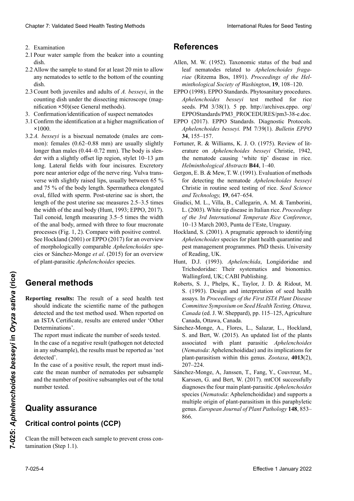- 2. Examination en reposo por 24 horas a reposo por 2. Examination
- 2. Examination<br>2.1 Pour water sample from the beaker into a counting dish.  $\frac{1}{4}$ dish. dish. dish.
- 2.2 Allow the sample to stand for at least 20 min to allow any nematodes to settle to the bottom of the counting<br>dish.<br>2.3 Count both inveniles and adults of A bessevi. in the dish. dish.<br>2.3 Count both juveniles and adults of *A. besseyi*, in the dish.
- counting dish under the dissecting microscope (mag-<br>nification ×50)(see General methods).<br>3 Confirmation/identification of suspect nematodes nification ×50)(see General methods).<br>3 Confirmation/identification of suspect nematodes
- 3. Confirmation/identification of suspect nematodes
- <sup>1</sup><br>3.1 Confirm the identification at a higher magnification of tos para permitir que cualquier nematodo se asiente en asiente en asiente en asiente en asiente en asiente en<br>x 1000 el *x*1000.<br>2.2 *A. besseyi* is a bisexual nematode (males are combonite de comptage au microscope au microscope à dissection (grossis-autorité de la partie de la partie de la<br>Districte **×**1000.
- mon): females  $(0.62-0.88$  mm) are usually slightly *A. bestery* entering the content of the content of the basic content of the basic content of the basic content of the state of the state of the state of the state of the state of the state of the state of the state of t der with a slightly offset lip region, stylet 10–13 μm 3. Confirmación/identificación de nematodos sospechosos 3.1 Confirmation con un aumento mayor de la industriale may be described aux des de la industriale may be described aux des de la industriale de la industriale de la industriale de la industriale de la industriale de la in 1000**×**. verse with slightly raised lips, usually between 05 % and 75 % of the body length. Spermatheca elongated oval, filled with sperm. Post-uterine sac is short, the length of the post uterine sac measures 2.5–3.5 times the width of the anal body (Hunt, 1993; EPPO, 2017). Tail conoid, length measuring 3.5–5 times the width of the anal body, armed with three to four mucronate processes (Fig. 1, 2). Compare with positive control. of the anal body, armed with three to four mucronate<br>processes (Fig. 1, 2). Compare with positive control.<br>See Hockland (2001) or EPPO (2017) for an overview of morphologically comparable *Aphelenchoides* speof morphologically comparable *Aphelenchoides* spe-<br>cies or Sánchez-Monge *et al*. (2015) for an overview<br>of plant-parasitic *Aphelenchoides* species. of plant-parasitic *Aphelenchoides* species. Clearior 7. Validierte Festival Treista behologie<br>
2. Examination control ab any term in the same of the absolute Prince Clearior Clearior Clearior Clearior Clearior Clearior Clearior Clearior Clearior Clearior Clearior C 2.2.1. Bessey is a sistemain nematode (mates are common): females  $(0.62-0.88 \text{ mm})$  are usually slightly longer than males  $(0.44-0.72 \text{ mm})$ . The body is slender with a aliability offset line negative at lett 10, 12 am 2.3 *A. besteut in die Stätte und adulten von die Bisexuel von die Stätte im Zühl*pore near anterior edge of the nerve ring. Vulva trans-Chaos 7 Voldated Sesel teel their spiral and other into the spiral and the spiral and the spiral and the spiral and the spiral and the spiral and the spiral and the spiral and the spiral and the spiral and the spiral and  $\frac{3.1 \text{ m}}{100 \text{ m}}$ . The longer than males  $(0.44-0.72 \text{ mm})$ . The body is slenlong. Lateral fields with four incisures. Excretory port litariant longues of the nerve ring. Vurva transverse with slightly raised lips, usually between 65 % oval, filled with sperm. Post-uterine sac is short, the<br>length of the post uterine sac measures 2.5–3.5 times<br>the width of the anal body (Hunt, 1993; EPPO, 2017). length of the post uterine sac measures 2.5–3.5 times

### eneral methods and electronic con-**General methods** comparables des espèces des espèces des et al. *(2015)* et al. *(2015)* pour une revue de se **General methods**

Reporting results: The result of a seed health test should indicate the scientific name of the pathogen detected and the test method used. When reported on an ISTA Certificate, results are entered under 'Other<br>Determinations' Determinations'.

*M* and the case of a hegative result (pathogen not detected<br>in any subsample) the results must be reported as 'not The report must indicate the number of seeds tested. In the case of a negative result (pathogen not detected in any subsample), the results must be reported as 'not<br>detected' detected'.

In the case of a positive result, the report must indi-In the case of a positive result, the report must indicate the mean number of nematodes per subsample participato de tecnología y el método de análisis utilizado. El método de análisis utilizado. and the number of positive subsamples out of the total number tested. dans les meur manipus et nématoues per subsample and the number of positive subsamples out of the total<br>number tested.

#### analizadas. En el caso de un resultado negativo (patógeno no desenschaftlichen Name des Krankheitserregers und die verwendete Methode enthalten. Bei Berichterstattung aanty assuranc<del>e</del> quer le nombre moyen de nématodes par sous-échan-Quality assurance<br>et le nombre total testées

#### $\mathbf{t}$ tectado en ninguna sub-muestra), los resultados de beneficial de beneficial de beneficial do en novas debeneficial do en novas de beneficial do en novas de beneficial do en novas de beneficial do en novas de benef  $\mathfrak m$ car como i pontes  $(\mathsf{corr})$ 'Weitere Untersuchungsergebnisse' einzutragen. Critical control points (CCP)

an the mill between each sample to prevent cross con-Clean the mill between each sample to prevent cross contamination (Step 1.1).

# y el número de sub-muestras positivas del número total Im Falle eines negativen Ergebnisses (Pathogen in kei-**Assurance qualité References**

- riae (Ritzema Bos, 1891). Proceedings of the Hel-<br>minthological Society of Washington. 19. 108–120. Allen, M. W. (1952). Taxonomic status of the bud and leaf nematodes related to *Aphelenchoides fraga*minthological Society of Washington, **19**, 108–120.
- EPPO (1998). EPPO Standards. Phytosanitary procedures. Limpiar el molinillo entre cada muestra para evitar conta-**Références** seeds. PM 3/38(1). 5 pp. http://archives.eppo. org/ EPPOStandards/PM3\_PROCEDURES/pm3-38-e.doc. *Aphelenchoides besseyi* test method for rice
- **Referencias** *fragariae* (Ritzema Bos, 1891). *Proceedings of the*  **34**, 155–157. **Kritische Kontrollpunkte (KKP)** and leaf nematodes related to *Aphelenchoides Aphelenchoides besseyi.* PM 7/39(1). *Bulletin EPPO* EPPO (2017). EPPO Standards. Diagnostic Protocols.
- Fortance, R. & Wilhams, R. S. S. C. (1999). Review of its<br>erature on *Aphelenchoides besseyi* Christie, 1942, leaf nematodes related to *Aphelenchoides fragaria right right right right <i>right <i>right <i>right <i><i>n***<sub>1</sub>** *<i>l***<sub>4</sub></sub>** *<i>l***<sub>4</sub>***l***<sub>4</sub>***l***<sub>4</sub>***l***<sub>4</sub>***l***<sub>4</sub>***l***<sub>4</sub>***l***<sub>4</sub>***l***<sub>4</sub>***l***<sub>4</sub>***l***<sub>4</sub>***l***<sub>4</sub>***l***<sub>4</sub>***l***<sub>4</sub>***l***<sub>4</sub>***l***<sub>4</sub>***l***<sub>4</sub>***l***<sub>4</sub>***l***<sub>4</sub>***l***<sub>4</sub>***l***<sub>4</sub>***l memininological Abstracts* **D++**, 1–+0. **Fortuner, R. & Williams, K. J. O. (1975). Review of lit-***Helminthological Abstracts* **B44**, 1–40.<br>*Corner* E.B. & Move T.W. (1991), Evalua *Aphelenchoides besseyi* emisite, 1942, the nematode causing 'white tip' disease in rice.<br> $H_1 + H_2 + H_3 + H_4 + H_5 + H_6$
- Gergon, E. B.  $\alpha$  Mew, T. W. (1991). Evaluation of methods. for detecting the hematode *Aphelenchoides besseyi* The detecting the hematode *Aphetencholdes* bessey!<br>Christie in routine seed testing of rice. Seed Science EPPOStandards/PM3\_PROCEDURES/pm3-38-e.doc. *fragariae* (Ritzema Bos, 1891). *Proceedings of the*  Fortuner, R. & Williams, K. J. O. (1975). Review of lit-*and Technology,* **19**, 647–654. Treminiological Abstracts **D44**, 1–40.<br>Gergon, E. B. & Mew, T. W. (1991). Evaluation of methods  $(L, D, \alpha)$  wew,  $(L, W, (1991)$ . Evaluation of filements. for detecting the nematode *Aphelenchoides besseyi*
- Giudici, M. L., Villa, B., Callegarin, A. M. & Tamborini, Giudici, M. L., Villa, B., Callegarin, A. M. & Tamborini,<br>L. (2003). White tip disease in Italian rice. *Proceedings* **34**, 155–157. *Aphelenchoides besseyi* test method for rice *Helminthological Abstracts* **B44**, 1–40. *of the 3rd International Temperate Rice Conference*, 10–13 March 2003, Punta de l'Este, Uruguay.
- Hockland, S. (2001). A pragmatic approach to identifying Aphelenchoides species for plant health quarantine and *Aphelenchoides* species for plant health quarantine and<br>pest management programmes. PhD thesis. University of Reading, UK.
- of Reading, UK.<br>Hunt, D.J. (1993). Aphelenchida, Longidoridae and Trichodoridae: Their systematics and bionomics.<br>Wallingford, UK; CABI Publishing. **Wallingford, UK; CABI Publishing.** Hunt, D.J. (1993). *Aphelenchida*, Longidoridae and Trichodoridae: Their systematics and bionomics. Wallingford, UK; CABI Publishing.
- Roberts, S. J., Phelps, K., Taylor, J. D. & Ridout, M. S. (1993). Design and interpretation of seed health<br>assays. In *Proceedings of the First ISTA Plant Disease*<br>*Committee Symposium on Seed Health Testing. Ottawa.* assays. In *Proceedings of the First ISTA Plant Disease* Committee Symposium on Seed Health Testing, Ottawa, Canada (ed. J. W. Sheppard), pp. 115–125, Agriculture<br>Canada, Ottawa, Canada.<br>Sánchez-Monge A Flores L. Salazar L. Hockland *Aphelenchoides* species for plant health quarantine and Canada, Ottawa, Canada.
- pest management of the management programmes. Phone and the set of the set of the end of the set of the set of the set of the set of the set of the set of the set of the set of the set of the set of the set of the set of t S. and Bert, W. (2015). An updated list of the plants n<br>Applementated with plant parasitic *Aphelenchoides* Trichodoridae: Their systematics and bionomics. Hockland, S. (2001). A pragmatic approach to identifying (*Nematoda*: Aphelenchoididae) and its implications for where we are the control of the control of the control of the control of the control of the control of the control of the control of the control of the control of the control of the control of the control of the control of  $R_{\text{max}}$  phenoment within the genes.  $200$  and,  $10(2)$ , panagement within the genes. Economic, 1916(2),<br>207-224.<br>Sánchez-Monge, A, Janssen, T., Fang, Y., Couvreur, M., Giudicia, Ottawa, Canada.<br>Sánchez-Monge, A., Flores, L., Salazar, L., Hockland, S. and Bert. W. (2015). An undated list of the plants *Aphelenchoides* species for plant health quarantine and plant-parasitism within this genus. *Zootaxa*, **4013**(2), S. and Bert, W. (2015). An updated list of the plants<br>associated with plant parasitic *Aphelenchoides*<br>(*Nematoda*: Aphelenchoididae) and its implications for<br>plant-parasitism within this genus. Zootaxa, 4013(2),<br>207–224. Sánchez-Monge, A., Flores, L., Salazar, L., Hockland, associated with plant parasitic *Aphelenchoides* 207–224.
- assays. In *Parison, 1, 1 ang, 1, Courton, M.*  $R$ arssen, O. and Dert, W.  $(201)$ . Incorrected Successium diagnoses the four main plant-parasitic *Aphelenchoides* species (*Nematoda*: Aphelenchoididae) and supports a  $\frac{1}{2}$  mumple origin or plant-parasitism in this paraphytetic genus. *European Journal of Plant Pathology* **146**, 633– associated with plant parasitic *Aphelenchoides* Karssen, G. and Bert, W. (2017). mtCOI successfully<br>diagnoses the four main plant-parasitic *Aphelenchoides* multiple origin of plant-parasitism in this paraphytetic<br>genus. *European Journal of Plant Pathology* **148**, 853–<br>866. species (*Nematoda*: Aphelenchoididae) and supports a<br>multiple origin of plant-parasitism in this paraphyletic<br>genus. *European Journal of Plant Pathology* **148**, 853– General methods<br>
Wallingford, UK; CABI Publishing.<br>
Reporting results: The result of a seed health test<br>
5. (1993). Design and interpretation of seed health<br>
should indicate the scientific name of the pathogen<br>
Solution *C* 866.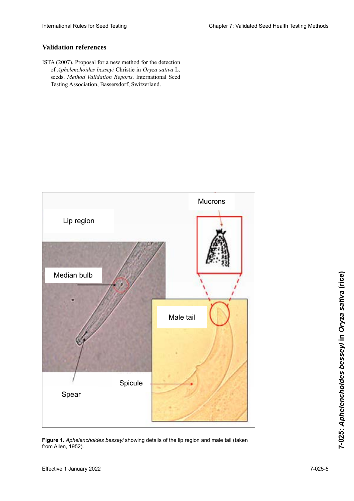## **Validation references**

ISTA (2007). Proposal for a new method for the detection<br>of *Aphelenchoides* bessevi Christie in *Oryza sativa* L. of *Aphelenchoides besseyi* Christie in *Oryza sativa* L. seeds. *Method Validation Reports*. International Seed Testing Association, Bassersdorf, Switzerland. Sánchez-Monge, A, Janssen, T., Fang, Y., Couvreur, M.,



**Figure 1.** A*phelenchoides besseyi* showing details of the lip region and male tail (taken from Allen, 1952). In de aus Allen, 1952).